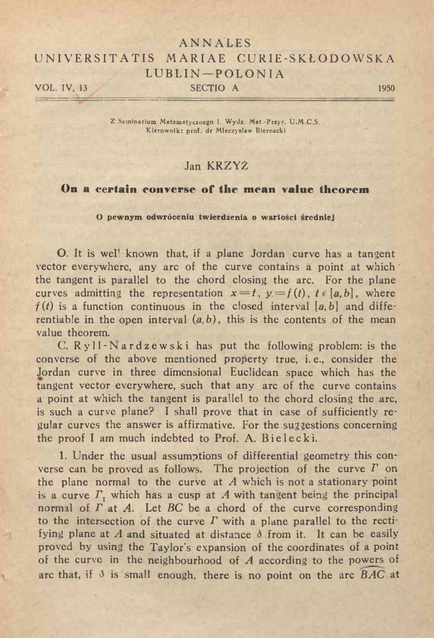## ANN ALES UNIVERSITATIS MARIAE CURIE-SKŁODOWSKA  $\begin{array}{cccc}\n & LUBLIN-POLONIA \\
 & SECTIO A\n\end{array}$

<sup>Z</sup> Seminarium Matematycznego I. Wydz. Mat.-Przyr. U.M.C.S. Kierownik: prof, dr Mieczysław Biernacki

## Jan KRZYŻ

## **On <sup>a</sup> certain converse of\* tlie mean value theorem**

**<sup>O</sup> pewnym odwróceniu twierdzenia <sup>o</sup> wartości średniej**

O. It is wel' known that, if <sup>a</sup> plane Jordan curve has <sup>a</sup> tangent O. It is well known that, if a plane Jordan curve has a tangent vector everywhere, any arc of the curve contains a point at which vector everywhere, any arc of the curve contains a point at which the tangent is parallel to the chord closing the arc. For the plane the tangent is parallel to the chord closing the arc. For the plane<br>curves admitting the representation  $x = t$ ,  $y = f(t)$ ,  $t \in [a, b]$ , where curves admitting the representation  $x = t$ ,  $y = f(t)$ ,  $t \in [a, b]$ , where  $f(t)$  is a function continuous in the closed interval  $[a, b]$  and diffe $f(t)$  is a function continuous in the closed interval [a, b] and differentiable in the open interval  $(a, b)$ , this is the contents of the mean value theorem.

C. Ryll-Nardzewski has put the following problem: is the C.  $Ryll$ - $N$  ard  $z$  e w s k i has put the following problem: is the converse of the above mentioned property true, i.e., consider the converse of the above mentioned property true, i.e., consider the<br>Jordan curve in three dimensional Euclidean space which has the Jordan curve in three dimensional Euclidean space which has the tangent vector everywhere, such that any arc of the curve contains tangent vector everywhere, such that any arc of the curve contains<br>a point at which the tangent is parallel to the chord closing the arc,<br>is such a curve plane? I shall prove that in case of sufficiently re-<br>gular curves t is such a curve plane? I shall prove that in case of sufficiently regular curves the answer is affirmative. For the suggestions concerning the proof <sup>I</sup> am much indebted to Prof. A. Bielecki.

1. Under the usual assumptions of differential geometry this coninc proof 1 am much muched to Froi. A. Bretecki.<br>1. Under the usual assumptions of differential geometry this converse can be proved as follows. The projection of the curve  $\Gamma$  on<br>the plane pormal to the curve at A which verse can be proved as follows. The projection of the curve  $\Gamma$  on the plane normal to the curve at  $A$  which is not a stationary point the plane normal to the curve at *A* which is not a stationary point is a curve  $\Gamma_1$  which has a cusp at *A* with tangent being the principal normal of  $\Gamma$  at *A*. Let *BC* be a chord of the curve corresponding to the normal of  $\Gamma$  at *A*. Let *BC* be a chord of the curve corresponding<br>to the intersection of the curve  $\Gamma$  with a plane parallel to the recti-<br>fying plane at *A* and situated at distance  $\delta$  from it. It can be easily<br>pr fying plane at A and situated at distance  $\delta$  from it. It can be easily proved by using the Taylor's expansion of the coordinates of a point proved by using the Taylor's expansion of the coordinates of a point<br>of the curve in the neighbourhood of *A* according to the powers of of the curve in the neighbourhood of A according to the powers of arc that, if  $\delta$  is small enough, there is no point on the arc *BAC* at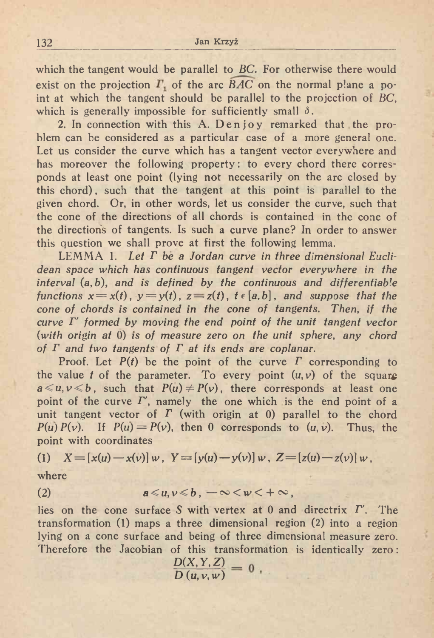which the tangent would be parallel to BC. For otherwise there would  $\frac{132}{132}$  Jan Krzyż<br>which the tangent would be parallel to *BC*. For otherwise there would<br>exist on the projection  $\Gamma_1$  of the arc *BAC* on the normal plane a po-<br>int at which the tangent should be parallel to the p exist on the projection  $\Gamma_1$  of the arc  $\overline{BAC}$  on the normal plane a point at which the tangent should be parallel to the projection of *BC*, which is generally impossible for sufficiently small  $\delta$ .

2. In connection with this A. Den joy remarked that the problem can be considered as <sup>a</sup> particular case of <sup>a</sup> more general one. Let us consider the curve which has <sup>a</sup> tangent vector everywhere and has moreover the following property: to every chord there corresponds at least one point (lying not necessarily on the arc closed by ponds at least one point (lying not necessarily on the arc closed by this chord), such that the tangent at this point is parallel to the given chord. Or, in other words, let us consider the curve, such that the cone of the given chord. Or, in other words, let us consider the curve, such that the cone of the directions of all chords is contained in the cone of the direction's of tangents. Is such <sup>a</sup> curve plane? In order to answer this question we shall prove at first the following lemma.

LEMMA 1. *Let <sup>r</sup> be <sup>a</sup> Jordan curve in three dimensional Euclidean space which has continuous tangent vector everywhere in the interval* (a, *b), and is defined by the continuous and differentiable* interval (a, b), and is defined by the continuous and differentiable<br>functions  $x = x(t)$ ,  $y = y(t)$ ,  $z = z(t)$ ,  $t \in [a, b]$ , and suppose that the interval (a, b), and is defined by the continuous and differentiable<br>functions  $x = x(t)$ ,  $y = y(t)$ ,  $z = z(t)$ ,  $t \in [a, b]$ , and suppose that the<br>cone of chords is contained in the cone of tangents. Then, if the<br>curve  $\Gamma'$  form cone of chords is contained in the cone of tangents. Then, if the curve  $\Gamma'$  formed by moving the end point of the unit tangent vector *(with origin at* 0) is *of measure zero on the unit sphere, any chord of <sup>T</sup> and two tangents of <sup>T</sup> at its ends are coplanar.*

of *P* and two tangents of *P* at its ends are coplanar.<br>
Proof. Let  $P(t)$  be the point of the curve *P* corresponding to<br>
the value *t* of the parameter. To every point  $(u, v)$  of the square<br>  $a \le u, v \le b$  such that  $P(u) \ne P$ the value *t* of the parameter. To every point  $(u, v)$  of the square  $a \le u, v \le b$ , such that  $P(u) \ne P(v)$ , there corresponds at least one point of the curve  $\Gamma'$ , namely the one which is the end point of a  $a \le u, v \le b$ , such that  $P(u) \ne P(v)$ , there corresponds at least one  $u, v \le v$ , such that  $P(u) \ne P(v)$ , there corresponds at least one point of the curve *I'*, namely the one which is the end point of a unit tangent vector of *I* (with origin at 0) parallel to the chord  $P(u) P(v)$ . If  $P(u) = P(v)$  $P(u) P(v)$ . If  $P(u) = P(v)$ , then 0 corresponds to  $(u, v)$ . Thus, the point with coordinates

(1) 
$$
X = [x(u) - x(v)]w
$$
,  $Y = [y(u) - y(v)]w$ ,  $Z = [z(u) - z(v)]w$ ,

where

(2) 
$$
a \leq u, v \leq b, -\infty < w < +\infty,
$$

(2)  $a \le u, v \le b, -\infty < w < +\infty$ ,<br>lies on the cone surface S with vertex at 0 and directrix *T'*. The<br>transformation (1) maps a three dimensional region (2) into a region lies on the cone surface S with vertex at 0 and directrix  $\Gamma'$ . The transformation (1) maps a three dimensional region (2) into a region transformation (1) maps a three dimensional region (2) into a region<br>lying on a cone surface and being of three dimensional measure zero. lying on a cone surface and being of three dimensional measure zero.<br>Therefore the Jacobian of this transformation is identically zero:

of this transform  
\n
$$
\frac{D(X, Y, Z)}{D(u, v, w)} = 0
$$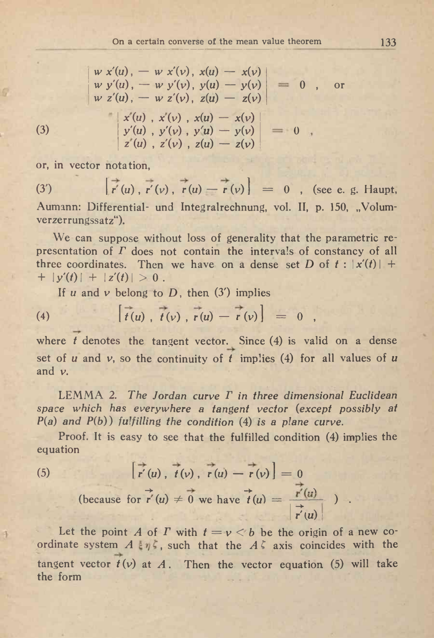$w x'(u) = w x'(v)$ ,  $x(u) - x(v)$  $w y'(u) = w y'(v), y(u) - y(v)$  $w z'(u)$ ,  $-w z'(v)$ ,  $z(u) - z(v)$ *<sup>1</sup> x(u) , x(y) , x(u) — x(y}*  $\begin{array}{ccc} \mathbf{orem} & & \ & & \ \mathbf{0} & , & \mathbf{or} \end{array}$ 

(3) 
$$
\begin{vmatrix} x(u) & x(v) & x(u) - x(v) \\ y'(u) & y'(v) & y(u) - y(v) \\ z'(u) & z'(v) & z(u) - z(v) \end{vmatrix} = 0
$$

or, in vector notation,

(3)  $\left[\overrightarrow{r}(u), \overrightarrow{r}(v), \overrightarrow{r}(u) - \overrightarrow{r}(v)\right] = 0$ , (see e. g. Haupt, Aumann: Differential- und Integralrechnung, vol. II, p. 150, "Volumverzerrungssatz").

We can suppose without loss of generality that the parametric re-We can suppose without loss of generality that the parametric representation of *F* does not contain the intervals of constancy of all three coordinates. Then we have on a dense set *D* of *t* :  $|x'(t)| + |y'(t)| + |z'(t)| > 0$ three coordinates. Then we have on a dense set D of  $t : |x'(t)| + |y'(t)| + |z'(t)| > 0$ .

If 
$$
u
$$
 and  $v$  belong to  $D$ , then (3') implies  
\n(4)  $\left[\overline{t}(u), \overline{t}(v), \overline{r}(u) - \overline{r}(v)\right] = 0$ ,

where *t* denotes the tangent vector. Since (4) is valid on a dense set of *<sup>u</sup>* and v, so the continuity of *<sup>t</sup>* implies (4) for all values of *<sup>u</sup>* and v.

LEMMA 2. *The Jordan curve <sup>T</sup> in three dimensional Euclidean space which has everywhere <sup>a</sup> tangent vector (except possibly at*  $P(a)$  *and*  $P(b)$ *) fulfilling the condition* (4) *is a plane curve.* 

Proof. It is easy to see that the fulfilled condition (4) implies the equation

equation  
\n(5) 
$$
\begin{bmatrix} \overrightarrow{r}(u) & \overrightarrow{t}(v) & \overrightarrow{r}(u) - \overrightarrow{r}(v) \end{bmatrix} = 0
$$
\n(because for  $\overrightarrow{r}'(u) \neq 0$  we have  $\overrightarrow{t}(u) = \frac{\overrightarrow{r}'(u)}{|\overrightarrow{r}'(u)|}$ )

Let the point *A* of *T* with  $t = v < b$  be the origin of a new co-(5)  $\mathbf{r}'(u)$ ,  $\mathbf{r}(v)$ ,  $\mathbf{r}(u) - \mathbf{r}(v) = 0$ <br>
(because for  $\mathbf{r}'(u) \neq 0$  we have  $\mathbf{r}'(u) = \frac{\mathbf{r}'(u)}{\mathbf{r}'(u)}$ ).<br>
Let the point *A* of *I* with  $t = v < b$  be the origin of a new coordinate system *A*  $\varepsilon \eta \zeta$ , tangent vector  $t(v)$  at A. Then the vector equation (5) will take<br>the form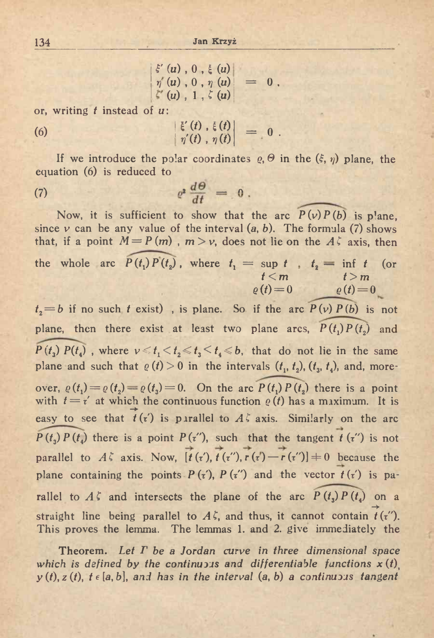<sup>134</sup> Jan Krzyż

$$
\begin{array}{l} \xi'(u) , 0 , \xi(u) \\ \eta'(u) , 0 , \eta(u) \\ \zeta'(u) , 1 , \zeta(u) \end{array} = 0 .
$$

or, writing *<sup>t</sup>* instead of u:

or, writing 
$$
t
$$
 instead of  $u$ :

\n(6)

\n
$$
\begin{vmatrix}\n\boldsymbol{\xi}'(t) & \boldsymbol{\xi}(t) \\
\eta'(t) & \eta(t)\n\end{vmatrix} = 0
$$

If we introduce the polar coordinates  $\varrho$ ,  $\Theta$  in the  $(\xi, \eta)$  plane, the If we introduce the polar coordinate<br>equation (6) is reduced to<br>(7)  $e^2 \frac{d\theta}{dt} = 0$ 

$$
e^2 \frac{d\theta}{dt} = 0
$$

Now, it is sufficient to show that the arc  $P(v)P(b)$  is plane, since  $v$  can be any value of the interval  $(a, b)$ . The formula  $(7)$  shows that, if a point  $M = P(m)$ ,  $m > v$ , does not lie on the  $A\bar{z}$  axis, then since  $v$  can be any value of the interval  $(a, b)$ . The formula (7) shows<br>that, if a point  $M = P(m)$ ,  $m > v$ , does not lie on the  $A \zeta$  axis, then<br>the whole arc  $P(t_1)P(t_2)$ , where  $t_1 = \sup_t t$ ,  $t_2 = \inf_t t$  (or<br> $t < m$   $t > m$  $e(t)=0$  $\rho(t)=0$ 

 $f_2 = b$  if no such *t* exist), is plane. So if the arc  $P(v) P(b)$  is not plane, then there exist at least two plane arcs,  $P(t_1)P(t_2)$  and plane, then there exist at least two plane arcs,  $P(t_1)P(t_2)$  and  $P(t_3)P(t_4)$ , where  $v \le t_1 < t_2 \le t_3 < t_4 \le b$ , that do not lie in the same  $P(t_3) P(t_4)$ , where  $\nu \le t_1 \le t_2 \le t_3 \le t_4 \le b$ , that do not lie in the same plane and such that  $\varrho(t) > 0$  in the intervals  $(t_1, t_2)$ ,  $(t_3, t_4)$ , and, moreplane and such that  $\varrho$  (*t*<sub>1</sub>) > 0 in the intervals (*t*<sub>1</sub>, *t*<sub>2</sub>), (*t*<sub>3</sub>, *t*<sub>4</sub>), and, more-<br>over,  $\varrho$  (*t*<sub>1</sub>) =  $\varrho$  (*t*<sub>2</sub>) =  $\varrho$  (*t*<sub>3</sub>) = 0. On the arc  $\overline{P(t_1) P(t_2)}$  there is a point<br>with  $t = r'$  a over,  $\varrho(t_1) = \varrho(t_2) = \varrho(t_3) = 0$ . On the arc  $\widehat{P(t_1) P(t_2)}$  there is a point with  $t = \tau'$  at which the continuous function  $\varrho(t)$  has a maximum. It is —>■ with  $t = t'$  at which the continuous function  $\varrho(t)$  has a maximum. It is easy to see that  $\vec{t}(t')$  is parallel to  $A\zeta$  axis. Similarly on the arc  $P(t_3) P(t_4)$  there is a point  $P(\tau')$ , such that the tangent  $t(\tau'')$  is not parallel to  $A\zeta$  axis. Now,  $\overrightarrow{[t(\tau)}, \overrightarrow{t(\tau)}, \overrightarrow{r(\tau)} - \overrightarrow{r(\tau')}]=0$  because the plane containing the points  $P(\tau)$ ,  $P(\tau')$  and the vector  $t(\tau')$  is parallel to  $A \zeta$  and intersects the plane of the arc  $P(t_3) P(t_4)$  on a  $\rightarrow$ rallel to *A*<sup>*C*</sup> and intersects the plane of the arc  $P(t_3)P(t_4)$  on a straight line being parallel to *A*<sup>*C*</sup>, and thus, it cannot contain  $\vec{t}(r'')$ . This proves the lemma. The lemmas 1. and 2. give immediately the

This proves the lemma. The lemmas 1. and 2. give immediately the Theorem. Let *P* be a Jordan curve in three dimensional space **Theorem.** Let  $\Gamma$  be a Jordan curve in three dimensional space which is defined by the continuous and differentiable functions  $x(t)$ , which is defined by the continuous and differentiable functions  $x(t)$ <br> $y(t), z(t), t \in [a, b]$ , and has in the interval  $(a, b)$  a continuous tangent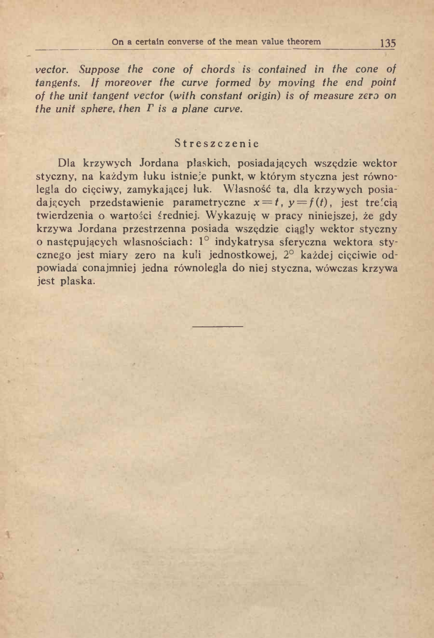*vector. Suppose the cone of chords is contained in the cone of*<br>*tendents If moreover the curve formed by moving the end point tangents. If moreover the curve formed by moving the end point* tangents. If moreover the curve formed by moving the end point<br>of the unit tangent vector (with constant origin) is of measure zero on *the unit sphere, then*  $\Gamma$  *is a plane curve.* 

## Streszczenie

Dla krzywych Jordana płaskich, posiadających wszędzie wektor styczny, na każdym luku istnieje punkt, w którym styczna jest równo-Dla krzywych Jordana płaskich, posiadających wszędzie wektor<br>styczny, na każdym łuku istnieje punkt, w którym styczna jest równo-<br>legła do cięciwy, zamykającej łuk. Własność ta, dla krzywych posia-<br>dających przedstawienie dających przedstawienie parametryczne  $x = t$ ,  $y = f(t)$ , jest treścią<br>dających przedstawienie parametryczne  $x = t$ ,  $y = f(t)$ , jest treścią<br>twierdznie e werteści średniej Wykornie w przez niniejscej je zdu dających przedstawienie parametryczne  $x = t$ ,  $y = f(t)$ , jest treścią<br>twierdzenia o wartości średniej. Wykazuję w pracy niniejszej, że gdy krzywa Jordana przestrzenna posiada wszędzie ciągły wektor styczny krzywa Jordana przestrzenna posiada wszędzie ciągły wektor styczny<br>o następujących własnościach: 1° indykatrysa sferyczna wektora styo następujących własnościach: 1<sup>0</sup> indykatrysa sferyczna wektora stycznego jest miary zero na kuli jednostkowej, 2<sup>0</sup> każdej cięciwie odcznego jest miary zero na kuli jednostkowej,  $2^{\circ}$  każdej cięciwie odpowiada conajmniej jedna równoległa do niej styczna, wówczas krzywa jest płaska.